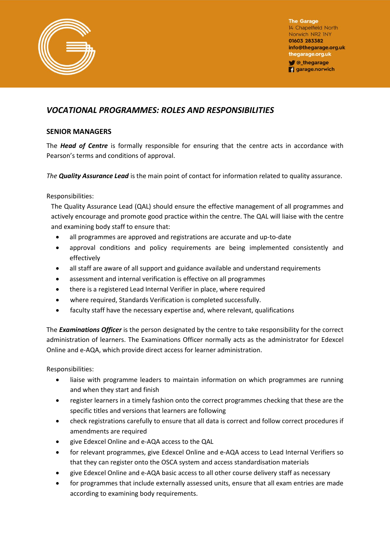

The Garage 14 Chapelfield North Norwich NR2 INY 01603 283382 info@thegarage.org.uk thegarage.org.uk **V** @\_thegarage **q** garage.norwich

## *VOCATIONAL PROGRAMMES: ROLES AND RESPONSIBILITIES*

## **SENIOR MANAGERS**

The *Head of Centre* is formally responsible for ensuring that the centre acts in accordance with Pearson's terms and conditions of approval.

*The Quality Assurance Lead* is the main point of contact for information related to quality assurance.

## Responsibilities:

The Quality Assurance Lead (QAL) should ensure the effective management of all programmes and actively encourage and promote good practice within the centre. The QAL will liaise with the centre and examining body staff to ensure that:

- all programmes are approved and registrations are accurate and up-to-date
- approval conditions and policy requirements are being implemented consistently and effectively
- all staff are aware of all support and guidance available and understand requirements
- assessment and internal verification is effective on all programmes
- there is a registered Lead Internal Verifier in place, where required
- where required, Standards Verification is completed successfully.
- faculty staff have the necessary expertise and, where relevant, qualifications

The *Examinations Officer* is the person designated by the centre to take responsibility for the correct administration of learners. The Examinations Officer normally acts as the administrator for Edexcel Online and e-AQA, which provide direct access for learner administration.

Responsibilities:

- liaise with programme leaders to maintain information on which programmes are running and when they start and finish
- register learners in a timely fashion onto the correct programmes checking that these are the specific titles and versions that learners are following
- check registrations carefully to ensure that all data is correct and follow correct procedures if amendments are required
- give Edexcel Online and e-AQA access to the QAL
- for relevant programmes, give Edexcel Online and e-AQA access to Lead Internal Verifiers so that they can register onto the OSCA system and access standardisation materials
- give Edexcel Online and e-AQA basic access to all other course delivery staff as necessary
- for programmes that include externally assessed units, ensure that all exam entries are made according to examining body requirements.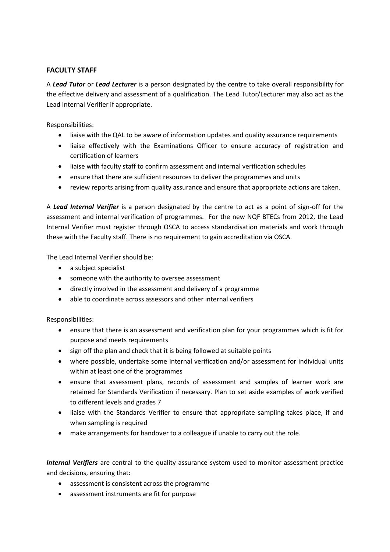## **FACULTY STAFF**

A *Lead Tutor* or *Lead Lecturer* is a person designated by the centre to take overall responsibility for the effective delivery and assessment of a qualification. The Lead Tutor/Lecturer may also act as the Lead Internal Verifier if appropriate.

Responsibilities:

- liaise with the QAL to be aware of information updates and quality assurance requirements
- liaise effectively with the Examinations Officer to ensure accuracy of registration and certification of learners
- liaise with faculty staff to confirm assessment and internal verification schedules
- ensure that there are sufficient resources to deliver the programmes and units
- review reports arising from quality assurance and ensure that appropriate actions are taken.

A *Lead Internal Verifier* is a person designated by the centre to act as a point of sign-off for the assessment and internal verification of programmes. For the new NQF BTECs from 2012, the Lead Internal Verifier must register through OSCA to access standardisation materials and work through these with the Faculty staff. There is no requirement to gain accreditation via OSCA.

The Lead Internal Verifier should be:

- a subject specialist
- someone with the authority to oversee assessment
- directly involved in the assessment and delivery of a programme
- able to coordinate across assessors and other internal verifiers

Responsibilities:

- ensure that there is an assessment and verification plan for your programmes which is fit for purpose and meets requirements
- sign off the plan and check that it is being followed at suitable points
- where possible, undertake some internal verification and/or assessment for individual units within at least one of the programmes
- ensure that assessment plans, records of assessment and samples of learner work are retained for Standards Verification if necessary. Plan to set aside examples of work verified to different levels and grades 7
- liaise with the Standards Verifier to ensure that appropriate sampling takes place, if and when sampling is required
- make arrangements for handover to a colleague if unable to carry out the role.

*Internal Verifiers* are central to the quality assurance system used to monitor assessment practice and decisions, ensuring that:

- assessment is consistent across the programme
- assessment instruments are fit for purpose